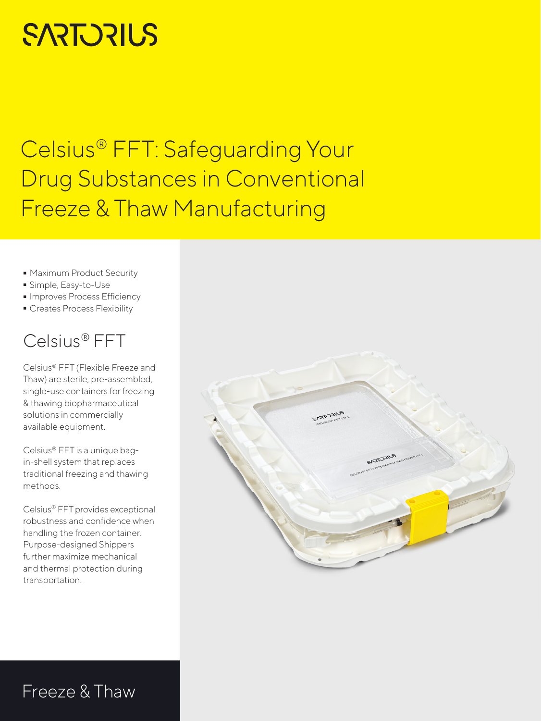# **SARTORIUS**

## Celsius® FFT: Safeguarding Your Drug Substances in Conventional Freeze & Thaw Manufacturing

- **-** Maximum Product Security<br>**-** Simple, Easy-to-Use
- 
- $\blacksquare$  Improves Process Efficiency
- Improves Process Efficiency<br>■ Creates Process Flexibility - Creates Process Flexibility

## Celsius® FFT

Celsius® FFT (Flexible Freeze and Thaw) are sterile, pre-assembled, single-use containers for freezing & thawing biopharmaceutical solutions in commercially available equipment.

Celsius® FFT is a unique bagin-shell system that replaces traditional freezing and thawing methods.

Celsius® FFT provides exceptional robustness and confidence when handling the frozen container. Purpose-designed Shippers further maximize mechanical and thermal protection during transportation.



## Freeze & Thaw